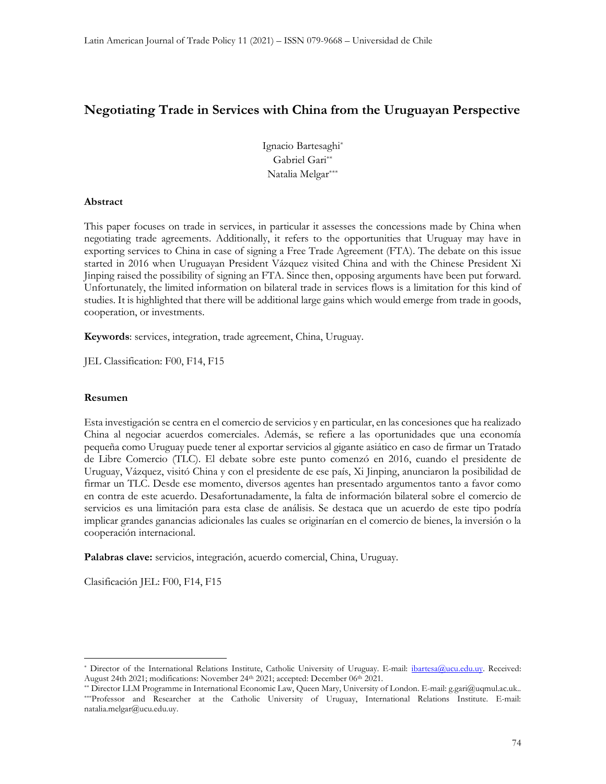# Negotiating Trade in Services with China from the Uruguayan Perspective

Ignacio Bartesaghi\* Gabriel Gari\*\* Natalia Melgar\*\*\*

#### Abstract

This paper focuses on trade in services, in particular it assesses the concessions made by China when negotiating trade agreements. Additionally, it refers to the opportunities that Uruguay may have in exporting services to China in case of signing a Free Trade Agreement (FTA). The debate on this issue started in 2016 when Uruguayan President Vázquez visited China and with the Chinese President Xi Jinping raised the possibility of signing an FTA. Since then, opposing arguments have been put forward. Unfortunately, the limited information on bilateral trade in services flows is a limitation for this kind of studies. It is highlighted that there will be additional large gains which would emerge from trade in goods, cooperation, or investments.

Keywords: services, integration, trade agreement, China, Uruguay.

JEL Classification: F00, F14, F15

#### Resumen

Esta investigación se centra en el comercio de servicios y en particular, en las concesiones que ha realizado China al negociar acuerdos comerciales. Además, se refiere a las oportunidades que una economía pequeña como Uruguay puede tener al exportar servicios al gigante asiático en caso de firmar un Tratado de Libre Comercio (TLC). El debate sobre este punto comenzó en 2016, cuando el presidente de Uruguay, Vázquez, visitó China y con el presidente de ese país, Xi Jinping, anunciaron la posibilidad de firmar un TLC. Desde ese momento, diversos agentes han presentado argumentos tanto a favor como en contra de este acuerdo. Desafortunadamente, la falta de información bilateral sobre el comercio de servicios es una limitación para esta clase de análisis. Se destaca que un acuerdo de este tipo podría implicar grandes ganancias adicionales las cuales se originarían en el comercio de bienes, la inversión o la cooperación internacional.

Palabras clave: servicios, integración, acuerdo comercial, China, Uruguay.

Clasificación JEL: F00, F14, F15

<sup>\*</sup> Director of the International Relations Institute, Catholic University of Uruguay. E-mail: ibartesa@ucu.edu.uy. Received: August 24th 2021; modifications: November 24<sup>th</sup> 2021; accepted: December 06<sup>th</sup> 2021.

<sup>\*\*</sup> Director LLM Programme in International Economic Law, Queen Mary, University of London. E-mail: g.gari@uqmul.ac.uk.. \*\*\*Professor and Researcher at the Catholic University of Uruguay, International Relations Institute. E-mail: natalia.melgar@ucu.edu.uy.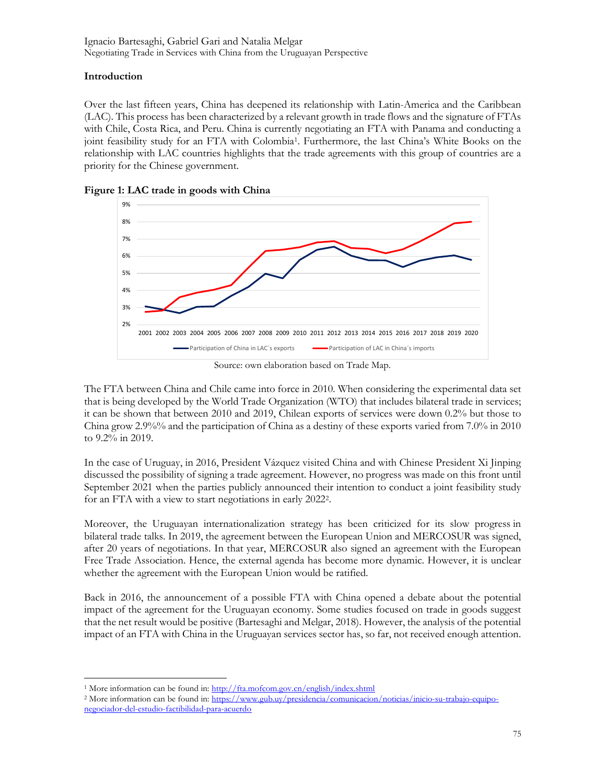## Introduction

Over the last fifteen years, China has deepened its relationship with Latin-America and the Caribbean (LAC). This process has been characterized by a relevant growth in trade flows and the signature of FTAs with Chile, Costa Rica, and Peru. China is currently negotiating an FTA with Panama and conducting a joint feasibility study for an FTA with Colombia<sup>1</sup>. Furthermore, the last China's White Books on the relationship with LAC countries highlights that the trade agreements with this group of countries are a priority for the Chinese government.



Figure 1: LAC trade in goods with China

Source: own elaboration based on Trade Map.

The FTA between China and Chile came into force in 2010. When considering the experimental data set that is being developed by the World Trade Organization (WTO) that includes bilateral trade in services; it can be shown that between 2010 and 2019, Chilean exports of services were down 0.2% but those to China grow 2.9%% and the participation of China as a destiny of these exports varied from 7.0% in 2010 to 9.2% in 2019.

In the case of Uruguay, in 2016, President Vázquez visited China and with Chinese President Xi Jinping discussed the possibility of signing a trade agreement. However, no progress was made on this front until September 2021 when the parties publicly announced their intention to conduct a joint feasibility study for an FTA with a view to start negotiations in early 2022<sup>2</sup> .

Moreover, the Uruguayan internationalization strategy has been criticized for its slow progress in bilateral trade talks. In 2019, the agreement between the European Union and MERCOSUR was signed, after 20 years of negotiations. In that year, MERCOSUR also signed an agreement with the European Free Trade Association. Hence, the external agenda has become more dynamic. However, it is unclear whether the agreement with the European Union would be ratified.

Back in 2016, the announcement of a possible FTA with China opened a debate about the potential impact of the agreement for the Uruguayan economy. Some studies focused on trade in goods suggest that the net result would be positive (Bartesaghi and Melgar, 2018). However, the analysis of the potential impact of an FTA with China in the Uruguayan services sector has, so far, not received enough attention.

<sup>1</sup> More information can be found in: http://fta.mofcom.gov.cn/english/index.shtml

<sup>2</sup> More information can be found in: https://www.gub.uy/presidencia/comunicacion/noticias/inicio-su-trabajo-equiponegociador-del-estudio-factibilidad-para-acuerdo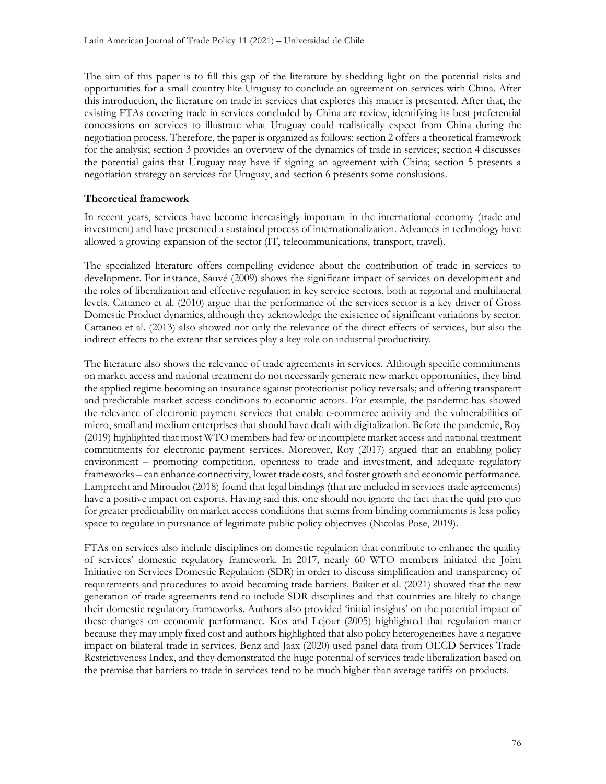The aim of this paper is to fill this gap of the literature by shedding light on the potential risks and opportunities for a small country like Uruguay to conclude an agreement on services with China. After this introduction, the literature on trade in services that explores this matter is presented. After that, the existing FTAs covering trade in services concluded by China are review, identifying its best preferential concessions on services to illustrate what Uruguay could realistically expect from China during the negotiation process. Therefore, the paper is organized as follows: section 2 offers a theoretical framework for the analysis; section 3 provides an overview of the dynamics of trade in services; section 4 discusses the potential gains that Uruguay may have if signing an agreement with China; section 5 presents a negotiation strategy on services for Uruguay, and section 6 presents some conslusions.

## Theoretical framework

In recent years, services have become increasingly important in the international economy (trade and investment) and have presented a sustained process of internationalization. Advances in technology have allowed a growing expansion of the sector (IT, telecommunications, transport, travel).

The specialized literature offers compelling evidence about the contribution of trade in services to development. For instance, Sauvé (2009) shows the significant impact of services on development and the roles of liberalization and effective regulation in key service sectors, both at regional and multilateral levels. Cattaneo et al. (2010) argue that the performance of the services sector is a key driver of Gross Domestic Product dynamics, although they acknowledge the existence of significant variations by sector. Cattaneo et al. (2013) also showed not only the relevance of the direct effects of services, but also the indirect effects to the extent that services play a key role on industrial productivity.

The literature also shows the relevance of trade agreements in services. Although specific commitments on market access and national treatment do not necessarily generate new market opportunities, they bind the applied regime becoming an insurance against protectionist policy reversals; and offering transparent and predictable market access conditions to economic actors. For example, the pandemic has showed the relevance of electronic payment services that enable e-commerce activity and the vulnerabilities of micro, small and medium enterprises that should have dealt with digitalization. Before the pandemic, Roy (2019) highlighted that most WTO members had few or incomplete market access and national treatment commitments for electronic payment services. Moreover, Roy (2017) argued that an enabling policy environment – promoting competition, openness to trade and investment, and adequate regulatory frameworks – can enhance connectivity, lower trade costs, and foster growth and economic performance. Lamprecht and Miroudot (2018) found that legal bindings (that are included in services trade agreements) have a positive impact on exports. Having said this, one should not ignore the fact that the quid pro quo for greater predictability on market access conditions that stems from binding commitments is less policy space to regulate in pursuance of legitimate public policy objectives (Nicolas Pose, 2019).

FTAs on services also include disciplines on domestic regulation that contribute to enhance the quality of services' domestic regulatory framework. In 2017, nearly 60 WTO members initiated the Joint Initiative on Services Domestic Regulation (SDR) in order to discuss simplification and transparency of requirements and procedures to avoid becoming trade barriers. Baiker et al. (2021) showed that the new generation of trade agreements tend to include SDR disciplines and that countries are likely to change their domestic regulatory frameworks. Authors also provided 'initial insights' on the potential impact of these changes on economic performance. Kox and Lejour (2005) highlighted that regulation matter because they may imply fixed cost and authors highlighted that also policy heterogeneities have a negative impact on bilateral trade in services. Benz and Jaax (2020) used panel data from OECD Services Trade Restrictiveness Index, and they demonstrated the huge potential of services trade liberalization based on the premise that barriers to trade in services tend to be much higher than average tariffs on products.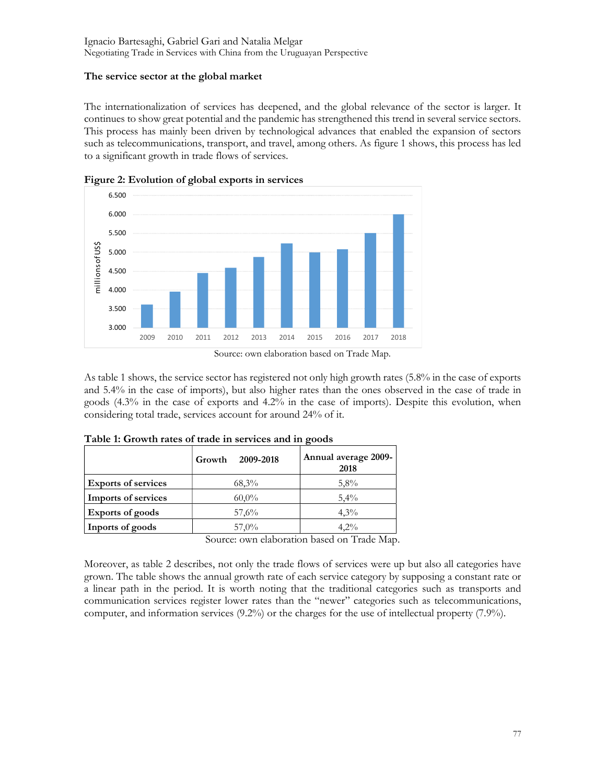## The service sector at the global market

The internationalization of services has deepened, and the global relevance of the sector is larger. It continues to show great potential and the pandemic has strengthened this trend in several service sectors. This process has mainly been driven by technological advances that enabled the expansion of sectors such as telecommunications, transport, and travel, among others. As figure 1 shows, this process has led to a significant growth in trade flows of services.



Figure 2: Evolution of global exports in services

As table 1 shows, the service sector has registered not only high growth rates (5.8% in the case of exports and 5.4% in the case of imports), but also higher rates than the ones observed in the case of trade in goods (4.3% in the case of exports and 4.2% in the case of imports). Despite this evolution, when considering total trade, services account for around 24% of it.

|                            | 2009-2018<br>Growth | Annual average 2009-<br>2018 |
|----------------------------|---------------------|------------------------------|
| <b>Exports of services</b> | 68,3%               | 5,8%                         |
| <b>Imports of services</b> | $60,0\%$            | 5,4%                         |
| <b>Exports of goods</b>    | 57,6%               | $4.3\%$                      |
| Inports of goods           | $57,0\%$            | $4.2\%$                      |

Source: own elaboration based on Trade Map.

Moreover, as table 2 describes, not only the trade flows of services were up but also all categories have grown. The table shows the annual growth rate of each service category by supposing a constant rate or a linear path in the period. It is worth noting that the traditional categories such as transports and communication services register lower rates than the "newer" categories such as telecommunications, computer, and information services (9.2%) or the charges for the use of intellectual property (7.9%).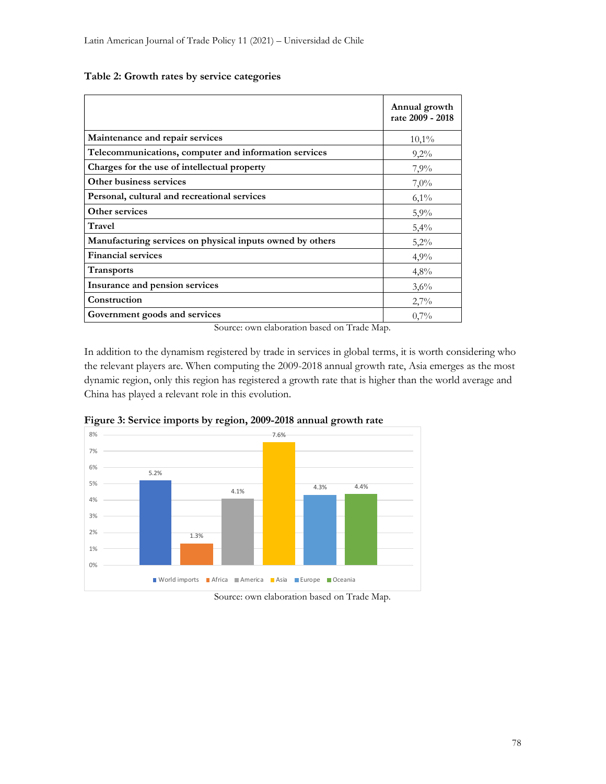### Table 2: Growth rates by service categories

|                                                           | Annual growth<br>rate 2009 - 2018 |
|-----------------------------------------------------------|-----------------------------------|
| Maintenance and repair services                           | 10,1%                             |
| Telecommunications, computer and information services     | 9,2%                              |
| Charges for the use of intellectual property              | 7,9%                              |
| Other business services                                   | 7,0%                              |
| Personal, cultural and recreational services              | $6,1\%$                           |
| Other services                                            | 5,9%                              |
| Travel                                                    | 5,4%                              |
| Manufacturing services on physical inputs owned by others | 5,2%                              |
| <b>Financial services</b>                                 | 4,9%                              |
| <b>Transports</b>                                         | 4,8%                              |
| Insurance and pension services                            | 3,6%                              |
| Construction                                              | 2,7%                              |
| Government goods and services<br>$\sim$ $\sim$<br>.       | 0,7%                              |

Source: own elaboration based on Trade Map.

In addition to the dynamism registered by trade in services in global terms, it is worth considering who the relevant players are. When computing the 2009-2018 annual growth rate, Asia emerges as the most dynamic region, only this region has registered a growth rate that is higher than the world average and China has played a relevant role in this evolution.



Figure 3: Service imports by region, 2009-2018 annual growth rate

Source: own elaboration based on Trade Map.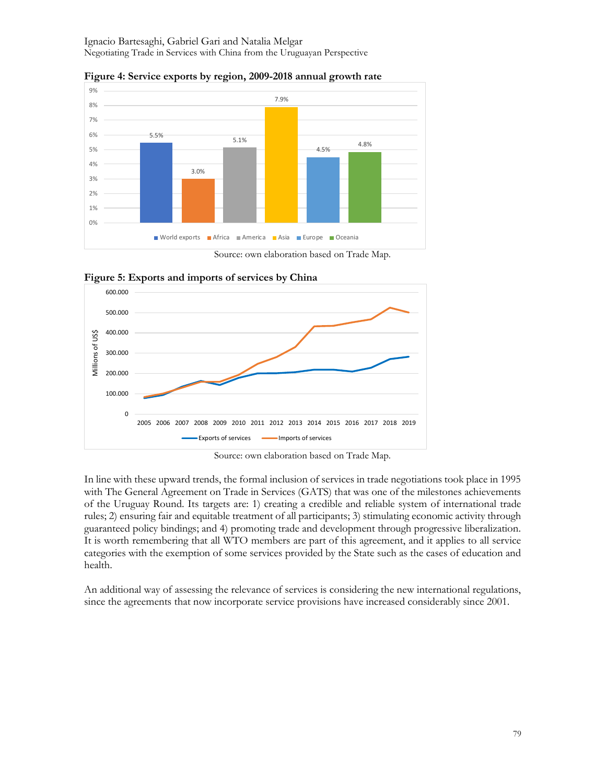

Figure 4: Service exports by region, 2009-2018 annual growth rate

Source: own elaboration based on Trade Map.



Figure 5: Exports and imports of services by China

Source: own elaboration based on Trade Map.

In line with these upward trends, the formal inclusion of services in trade negotiations took place in 1995 with The General Agreement on Trade in Services (GATS) that was one of the milestones achievements of the Uruguay Round. Its targets are: 1) creating a credible and reliable system of international trade rules; 2) ensuring fair and equitable treatment of all participants; 3) stimulating economic activity through guaranteed policy bindings; and 4) promoting trade and development through progressive liberalization. It is worth remembering that all WTO members are part of this agreement, and it applies to all service categories with the exemption of some services provided by the State such as the cases of education and health.

An additional way of assessing the relevance of services is considering the new international regulations, since the agreements that now incorporate service provisions have increased considerably since 2001.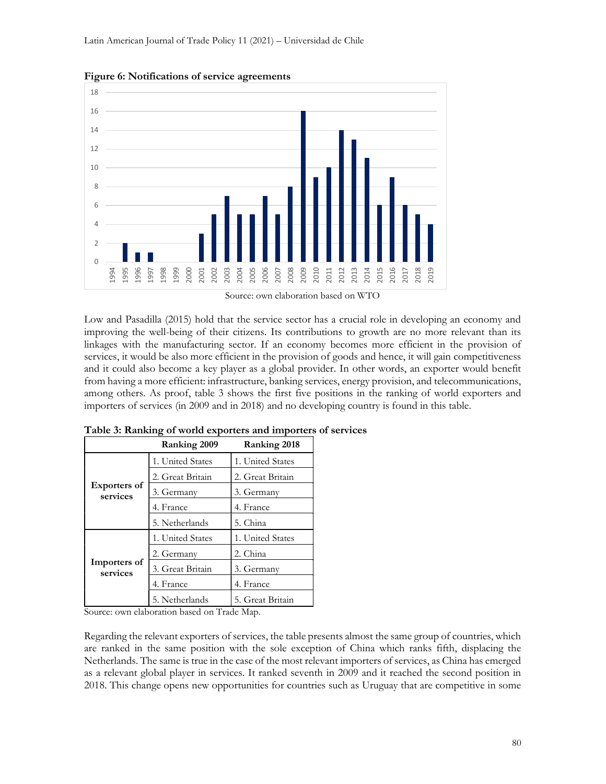

Figure 6: Notifications of service agreements

Source: own elaboration based on WTO

Low and Pasadilla (2015) hold that the service sector has a crucial role in developing an economy and improving the well-being of their citizens. Its contributions to growth are no more relevant than its linkages with the manufacturing sector. If an economy becomes more efficient in the provision of services, it would be also more efficient in the provision of goods and hence, it will gain competitiveness and it could also become a key player as a global provider. In other words, an exporter would benefit from having a more efficient: infrastructure, banking services, energy provision, and telecommunications, among others. As proof, table 3 shows the first five positions in the ranking of world exporters and importers of services (in 2009 and in 2018) and no developing country is found in this table.

| Ranking 2009                    |                  | Ranking 2018     |  |
|---------------------------------|------------------|------------------|--|
| <b>Exporters of</b><br>services | 1. United States | 1. United States |  |
|                                 | 2. Great Britain | 2. Great Britain |  |
|                                 | 3. Germany       | 3. Germany       |  |
|                                 | 4. France        | 4. France        |  |
|                                 | 5. Netherlands   | 5. China         |  |
| Importers of<br>services        | 1. United States | 1. United States |  |
|                                 | 2. Germany       | 2. China         |  |
|                                 | 3. Great Britain | 3. Germany       |  |
|                                 | 4. France        | 4. France        |  |
|                                 | 5. Netherlands   | 5. Great Britain |  |

Table 3: Ranking of world exporters and importers of services

Source: own elaboration based on Trade Map.

Regarding the relevant exporters of services, the table presents almost the same group of countries, which are ranked in the same position with the sole exception of China which ranks fifth, displacing the Netherlands. The same is true in the case of the most relevant importers of services, as China has emerged as a relevant global player in services. It ranked seventh in 2009 and it reached the second position in 2018. This change opens new opportunities for countries such as Uruguay that are competitive in some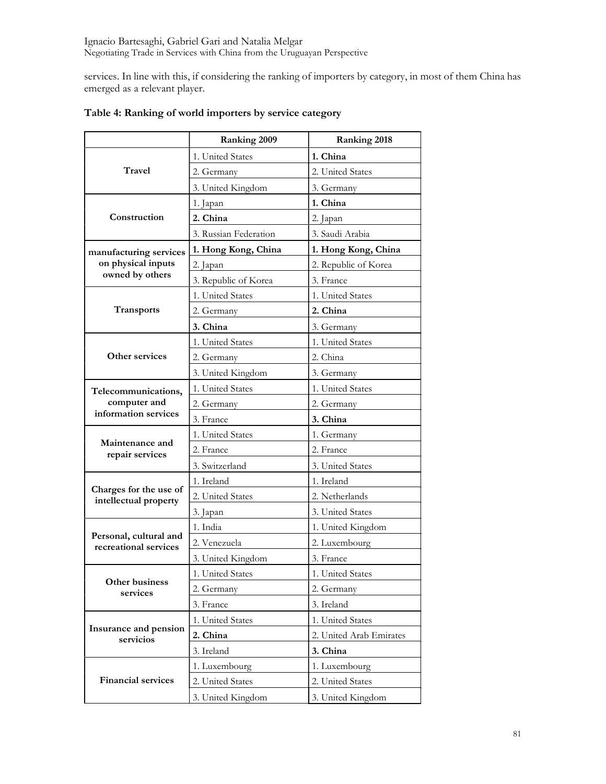services. In line with this, if considering the ranking of importers by category, in most of them China has emerged as a relevant player.

|                                                 | Ranking 2009          | Ranking 2018            |
|-------------------------------------------------|-----------------------|-------------------------|
|                                                 | 1. United States      | 1. China                |
| Travel                                          | 2. Germany            | 2. United States        |
|                                                 | 3. United Kingdom     | 3. Germany              |
|                                                 | 1. Japan              | 1. China                |
| Construction                                    | 2. China              | 2. Japan                |
|                                                 | 3. Russian Federation | 3. Saudi Arabia         |
| manufacturing services                          | 1. Hong Kong, China   | 1. Hong Kong, China     |
| on physical inputs                              | 2. Japan              | 2. Republic of Korea    |
| owned by others                                 | 3. Republic of Korea  | 3. France               |
|                                                 | 1. United States      | 1. United States        |
| Transports                                      | 2. Germany            | 2. China                |
|                                                 | 3. China              | 3. Germany              |
|                                                 | 1. United States      | 1. United States        |
| Other services                                  | 2. Germany            | 2. China                |
|                                                 | 3. United Kingdom     | 3. Germany              |
| Telecommunications,                             | 1. United States      | 1. United States        |
| computer and                                    | 2. Germany            | 2. Germany              |
| information services                            | 3. France             | 3. China                |
|                                                 | 1. United States      | 1. Germany              |
| Maintenance and<br>repair services              | 2. France             | 2. France               |
|                                                 | 3. Switzerland        | 3. United States        |
|                                                 | 1. Ireland            | 1. Ireland              |
| Charges for the use of<br>intellectual property | 2. United States      | 2. Netherlands          |
|                                                 | 3. Japan              | 3. United States        |
|                                                 | 1. India              | 1. United Kingdom       |
| Personal, cultural and<br>recreational services | 2. Venezuela          | 2. Luxembourg           |
|                                                 | 3. United Kingdom     | 3. France               |
|                                                 | 1. United States      | 1. United States        |
| Other business<br>services                      | 2. Germany            | 2. Germany              |
|                                                 | 3. France             | 3. Ireland              |
| Insurance and pension<br>servicios              | 1. United States      | 1. United States        |
|                                                 | 2. China              | 2. United Arab Emirates |
|                                                 | 3. Ireland            | 3. China                |
|                                                 | 1. Luxembourg         | 1. Luxembourg           |
| <b>Financial services</b>                       | 2. United States      | 2. United States        |
|                                                 | 3. United Kingdom     | 3. United Kingdom       |

# Table 4: Ranking of world importers by service category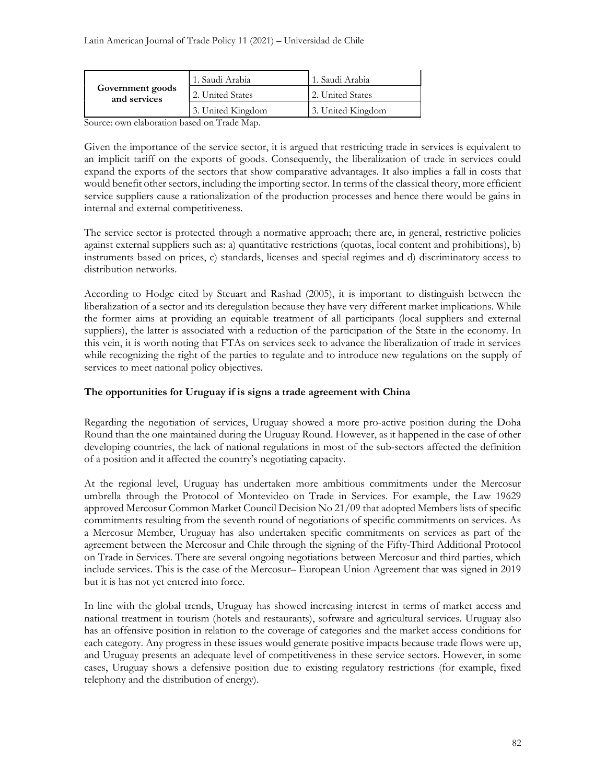| Government goods<br>and services | 1. Saudi Arabia   | l 1. Saudi Arabia |
|----------------------------------|-------------------|-------------------|
|                                  | 2. United States  | 2. United States  |
|                                  | 3. United Kingdom | 3. United Kingdom |

Source: own elaboration based on Trade Map.

Given the importance of the service sector, it is argued that restricting trade in services is equivalent to an implicit tariff on the exports of goods. Consequently, the liberalization of trade in services could expand the exports of the sectors that show comparative advantages. It also implies a fall in costs that would benefit other sectors, including the importing sector. In terms of the classical theory, more efficient service suppliers cause a rationalization of the production processes and hence there would be gains in internal and external competitiveness.

The service sector is protected through a normative approach; there are, in general, restrictive policies against external suppliers such as: a) quantitative restrictions (quotas, local content and prohibitions), b) instruments based on prices, c) standards, licenses and special regimes and d) discriminatory access to distribution networks.

According to Hodge cited by Steuart and Rashad (2005), it is important to distinguish between the liberalization of a sector and its deregulation because they have very different market implications. While the former aims at providing an equitable treatment of all participants (local suppliers and external suppliers), the latter is associated with a reduction of the participation of the State in the economy. In this vein, it is worth noting that FTAs on services seek to advance the liberalization of trade in services while recognizing the right of the parties to regulate and to introduce new regulations on the supply of services to meet national policy objectives.

## The opportunities for Uruguay if is signs a trade agreement with China

Regarding the negotiation of services, Uruguay showed a more pro-active position during the Doha Round than the one maintained during the Uruguay Round. However, as it happened in the case of other developing countries, the lack of national regulations in most of the sub-sectors affected the definition of a position and it affected the country's negotiating capacity.

At the regional level, Uruguay has undertaken more ambitious commitments under the Mercosur umbrella through the Protocol of Montevideo on Trade in Services. For example, the Law 19629 approved Mercosur Common Market Council Decision No 21/09 that adopted Members lists of specific commitments resulting from the seventh round of negotiations of specific commitments on services. As a Mercosur Member, Uruguay has also undertaken specific commitments on services as part of the agreement between the Mercosur and Chile through the signing of the Fifty-Third Additional Protocol on Trade in Services. There are several ongoing negotiations between Mercosur and third parties, which include services. This is the case of the Mercosur– European Union Agreement that was signed in 2019 but it is has not yet entered into force.

In line with the global trends, Uruguay has showed increasing interest in terms of market access and national treatment in tourism (hotels and restaurants), software and agricultural services. Uruguay also has an offensive position in relation to the coverage of categories and the market access conditions for each category. Any progress in these issues would generate positive impacts because trade flows were up, and Uruguay presents an adequate level of competitiveness in these service sectors. However, in some cases, Uruguay shows a defensive position due to existing regulatory restrictions (for example, fixed telephony and the distribution of energy).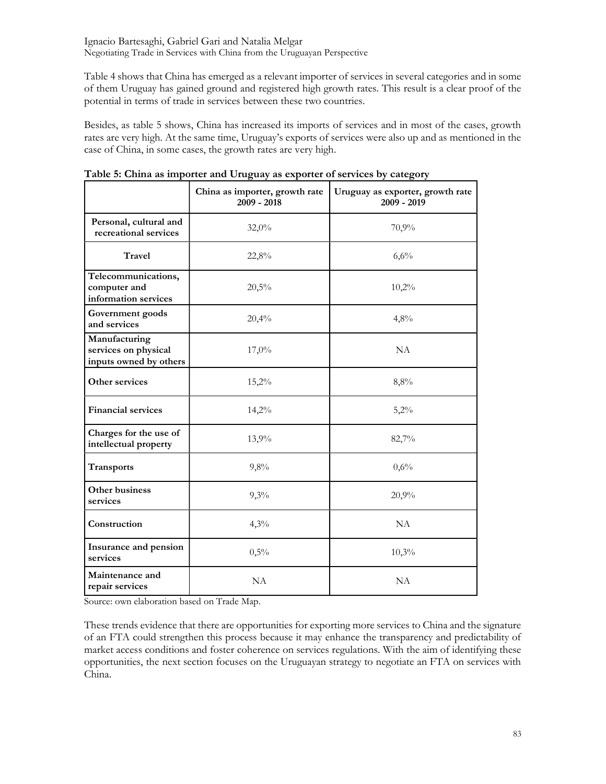Table 4 shows that China has emerged as a relevant importer of services in several categories and in some of them Uruguay has gained ground and registered high growth rates. This result is a clear proof of the potential in terms of trade in services between these two countries.

Besides, as table 5 shows, China has increased its imports of services and in most of the cases, growth rates are very high. At the same time, Uruguay's exports of services were also up and as mentioned in the case of China, in some cases, the growth rates are very high.

|                                                                 | China as importer, growth rate<br>$2009 - 2018$ | Uruguay as exporter, growth rate<br>2009 - 2019 |  |
|-----------------------------------------------------------------|-------------------------------------------------|-------------------------------------------------|--|
| Personal, cultural and<br>recreational services                 | 32,0%                                           | 70,9%                                           |  |
| Travel                                                          | 22,8%                                           | 6,6%                                            |  |
| Telecommunications,<br>computer and<br>information services     | 20,5%                                           | 10,2%                                           |  |
| Government goods<br>and services                                | 20,4%                                           | 4,8%                                            |  |
| Manufacturing<br>services on physical<br>inputs owned by others | 17,0%                                           | NA                                              |  |
| Other services                                                  | 15,2%                                           | 8,8%                                            |  |
| <b>Financial services</b>                                       | 14,2%                                           | 5,2%                                            |  |
| Charges for the use of<br>intellectual property                 | 13,9%                                           | 82,7%                                           |  |
| Transports                                                      | 9,8%                                            | 0,6%                                            |  |
| Other business<br>services                                      | 9,3%                                            | 20,9%                                           |  |
| Construction                                                    | 4,3%                                            | NA                                              |  |
| Insurance and pension<br>services                               | 0,5%                                            | 10,3%                                           |  |
| Maintenance and<br>repair services                              | NA                                              | <b>NA</b>                                       |  |

|  | Table 5: China as importer and Uruguay as exporter of services by category |
|--|----------------------------------------------------------------------------|
|  |                                                                            |

Source: own elaboration based on Trade Map.

These trends evidence that there are opportunities for exporting more services to China and the signature of an FTA could strengthen this process because it may enhance the transparency and predictability of market access conditions and foster coherence on services regulations. With the aim of identifying these opportunities, the next section focuses on the Uruguayan strategy to negotiate an FTA on services with China.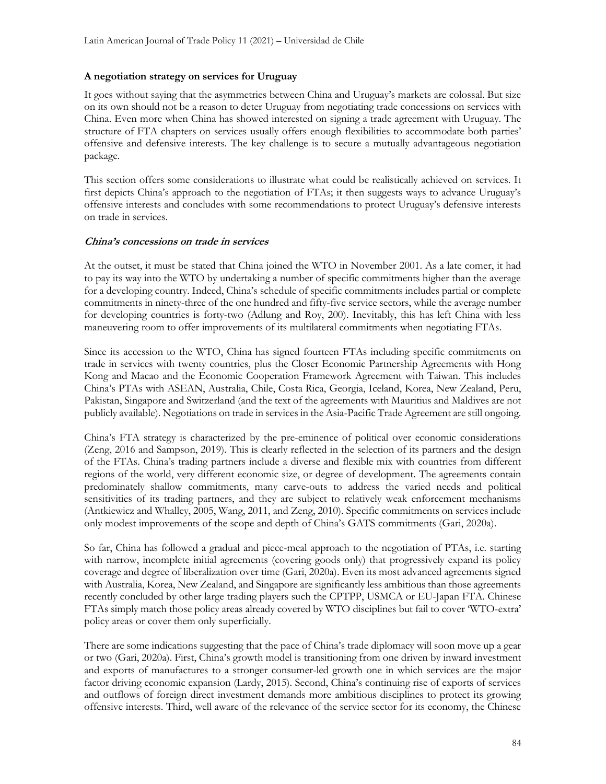## A negotiation strategy on services for Uruguay

It goes without saying that the asymmetries between China and Uruguay's markets are colossal. But size on its own should not be a reason to deter Uruguay from negotiating trade concessions on services with China. Even more when China has showed interested on signing a trade agreement with Uruguay. The structure of FTA chapters on services usually offers enough flexibilities to accommodate both parties' offensive and defensive interests. The key challenge is to secure a mutually advantageous negotiation package.

This section offers some considerations to illustrate what could be realistically achieved on services. It first depicts China's approach to the negotiation of FTAs; it then suggests ways to advance Uruguay's offensive interests and concludes with some recommendations to protect Uruguay's defensive interests on trade in services.

### China's concessions on trade in services

At the outset, it must be stated that China joined the WTO in November 2001. As a late comer, it had to pay its way into the WTO by undertaking a number of specific commitments higher than the average for a developing country. Indeed, China's schedule of specific commitments includes partial or complete commitments in ninety-three of the one hundred and fifty-five service sectors, while the average number for developing countries is forty-two (Adlung and Roy, 200). Inevitably, this has left China with less maneuvering room to offer improvements of its multilateral commitments when negotiating FTAs.

Since its accession to the WTO, China has signed fourteen FTAs including specific commitments on trade in services with twenty countries, plus the Closer Economic Partnership Agreements with Hong Kong and Macao and the Economic Cooperation Framework Agreement with Taiwan. This includes China's PTAs with ASEAN, Australia, Chile, Costa Rica, Georgia, Iceland, Korea, New Zealand, Peru, Pakistan, Singapore and Switzerland (and the text of the agreements with Mauritius and Maldives are not publicly available). Negotiations on trade in services in the Asia-Pacific Trade Agreement are still ongoing.

China's FTA strategy is characterized by the pre-eminence of political over economic considerations (Zeng, 2016 and Sampson, 2019). This is clearly reflected in the selection of its partners and the design of the FTAs. China's trading partners include a diverse and flexible mix with countries from different regions of the world, very different economic size, or degree of development. The agreements contain predominately shallow commitments, many carve-outs to address the varied needs and political sensitivities of its trading partners, and they are subject to relatively weak enforcement mechanisms (Antkiewicz and Whalley, 2005, Wang, 2011, and Zeng, 2010). Specific commitments on services include only modest improvements of the scope and depth of China's GATS commitments (Gari, 2020a).

So far, China has followed a gradual and piece-meal approach to the negotiation of PTAs, i.e. starting with narrow, incomplete initial agreements (covering goods only) that progressively expand its policy coverage and degree of liberalization over time (Gari, 2020a). Even its most advanced agreements signed with Australia, Korea, New Zealand, and Singapore are significantly less ambitious than those agreements recently concluded by other large trading players such the CPTPP, USMCA or EU-Japan FTA. Chinese FTAs simply match those policy areas already covered by WTO disciplines but fail to cover 'WTO-extra' policy areas or cover them only superficially.

There are some indications suggesting that the pace of China's trade diplomacy will soon move up a gear or two (Gari, 2020a). First, China's growth model is transitioning from one driven by inward investment and exports of manufactures to a stronger consumer-led growth one in which services are the major factor driving economic expansion (Lardy, 2015). Second, China's continuing rise of exports of services and outflows of foreign direct investment demands more ambitious disciplines to protect its growing offensive interests. Third, well aware of the relevance of the service sector for its economy, the Chinese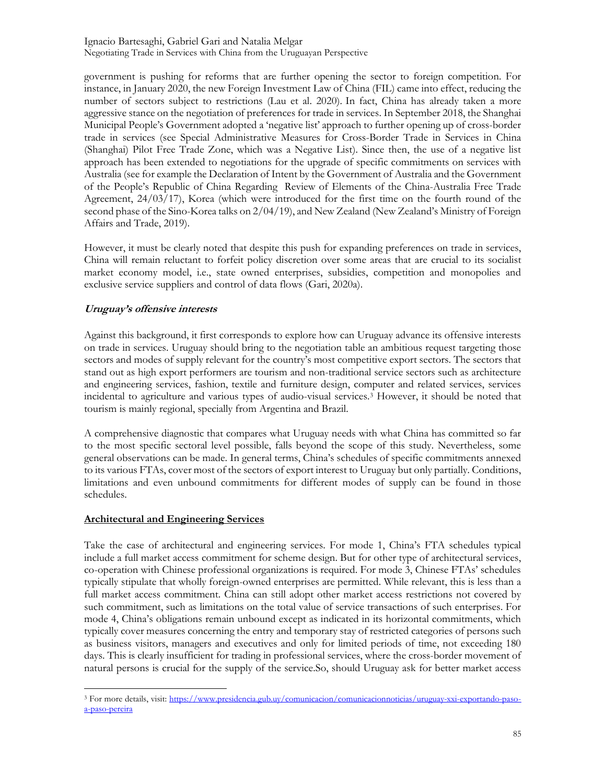government is pushing for reforms that are further opening the sector to foreign competition. For instance, in January 2020, the new Foreign Investment Law of China (FIL) came into effect, reducing the number of sectors subject to restrictions (Lau et al. 2020). In fact, China has already taken a more aggressive stance on the negotiation of preferences for trade in services. In September 2018, the Shanghai Municipal People's Government adopted a 'negative list' approach to further opening up of cross-border trade in services (see Special Administrative Measures for Cross-Border Trade in Services in China (Shanghai) Pilot Free Trade Zone, which was a Negative List). Since then, the use of a negative list approach has been extended to negotiations for the upgrade of specific commitments on services with Australia (see for example the Declaration of Intent by the Government of Australia and the Government of the People's Republic of China Regarding Review of Elements of the China-Australia Free Trade Agreement, 24/03/17), Korea (which were introduced for the first time on the fourth round of the second phase of the Sino-Korea talks on 2/04/19), and New Zealand (New Zealand's Ministry of Foreign Affairs and Trade, 2019).

However, it must be clearly noted that despite this push for expanding preferences on trade in services, China will remain reluctant to forfeit policy discretion over some areas that are crucial to its socialist market economy model, i.e., state owned enterprises, subsidies, competition and monopolies and exclusive service suppliers and control of data flows (Gari, 2020a).

## Uruguay's offensive interests

Against this background, it first corresponds to explore how can Uruguay advance its offensive interests on trade in services. Uruguay should bring to the negotiation table an ambitious request targeting those sectors and modes of supply relevant for the country's most competitive export sectors. The sectors that stand out as high export performers are tourism and non-traditional service sectors such as architecture and engineering services, fashion, textile and furniture design, computer and related services, services incidental to agriculture and various types of audio-visual services.<sup>3</sup> However, it should be noted that tourism is mainly regional, specially from Argentina and Brazil.

A comprehensive diagnostic that compares what Uruguay needs with what China has committed so far to the most specific sectoral level possible, falls beyond the scope of this study. Nevertheless, some general observations can be made. In general terms, China's schedules of specific commitments annexed to its various FTAs, cover most of the sectors of export interest to Uruguay but only partially. Conditions, limitations and even unbound commitments for different modes of supply can be found in those schedules.

## Architectural and Engineering Services

Take the case of architectural and engineering services. For mode 1, China's FTA schedules typical include a full market access commitment for scheme design. But for other type of architectural services, co-operation with Chinese professional organizations is required. For mode 3, Chinese FTAs' schedules typically stipulate that wholly foreign-owned enterprises are permitted. While relevant, this is less than a full market access commitment. China can still adopt other market access restrictions not covered by such commitment, such as limitations on the total value of service transactions of such enterprises. For mode 4, China's obligations remain unbound except as indicated in its horizontal commitments, which typically cover measures concerning the entry and temporary stay of restricted categories of persons such as business visitors, managers and executives and only for limited periods of time, not exceeding 180 days. This is clearly insufficient for trading in professional services, where the cross-border movement of natural persons is crucial for the supply of the service.So, should Uruguay ask for better market access

<sup>&</sup>lt;sup>3</sup> For more details, visit: https://www.presidencia.gub.uy/comunicacion/comunicacionnoticias/uruguay-xxi-exportando-pasoa-paso-pereira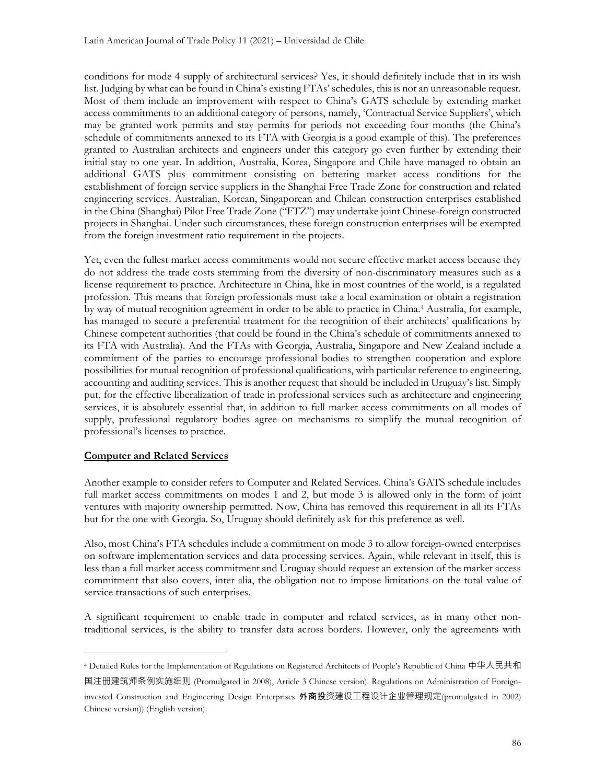conditions for mode 4 supply of architectural services? Yes, it should definitely include that in its wish list. Judging by what can be found in China's existing FTAs' schedules, this is not an unreasonable request. Most of them include an improvement with respect to China's GATS schedule by extending market access commitments to an additional category of persons, namely, 'Contractual Service Suppliers', which may be granted work permits and stay permits for periods not exceeding four months (the China's schedule of commitments annexed to its FTA with Georgia is a good example of this). The preferences granted to Australian architects and engineers under this category go even further by extending their initial stay to one year. In addition, Australia, Korea, Singapore and Chile have managed to obtain an additional GATS plus commitment consisting on bettering market access conditions for the establishment of foreign service suppliers in the Shanghai Free Trade Zone for construction and related engineering services. Australian, Korean, Singaporean and Chilean construction enterprises established in the China (Shanghai) Pilot Free Trade Zone ("FTZ") may undertake joint Chinese-foreign constructed projects in Shanghai. Under such circumstances, these foreign construction enterprises will be exempted from the foreign investment ratio requirement in the projects.

Yet, even the fullest market access commitments would not secure effective market access because they do not address the trade costs stemming from the diversity of non-discriminatory measures such as a license requirement to practice. Architecture in China, like in most countries of the world, is a regulated profession. This means that foreign professionals must take a local examination or obtain a registration by way of mutual recognition agreement in order to be able to practice in China.<sup>4</sup> Australia, for example, has managed to secure a preferential treatment for the recognition of their architects' qualifications by Chinese competent authorities (that could be found in the China's schedule of commitments annexed to its FTA with Australia). And the FTAs with Georgia, Australia, Singapore and New Zealand include a commitment of the parties to encourage professional bodies to strengthen cooperation and explore possibilities for mutual recognition of professional qualifications, with particular reference to engineering, accounting and auditing services. This is another request that should be included in Uruguay's list. Simply put, for the effective liberalization of trade in professional services such as architecture and engineering services, it is absolutely essential that, in addition to full market access commitments on all modes of supply, professional regulatory bodies agree on mechanisms to simplify the mutual recognition of professional's licenses to practice.

#### Computer and Related Services

Another example to consider refers to Computer and Related Services. China's GATS schedule includes full market access commitments on modes 1 and 2, but mode 3 is allowed only in the form of joint ventures with majority ownership permitted. Now, China has removed this requirement in all its FTAs but for the one with Georgia. So, Uruguay should definitely ask for this preference as well.

Also, most China's FTA schedules include a commitment on mode 3 to allow foreign-owned enterprises on software implementation services and data processing services. Again, while relevant in itself, this is less than a full market access commitment and Uruguay should request an extension of the market access commitment that also covers, inter alia, the obligation not to impose limitations on the total value of service transactions of such enterprises.

A significant requirement to enable trade in computer and related services, as in many other nontraditional services, is the ability to transfer data across borders. However, only the agreements with

<sup>4</sup> Detailed Rules for the Implementation of Regulations on Registered Architects of People's Republic of China 中华人民共和 国注册建筑师条例实施细则 (Promulgated in 2008), Article 3 Chinese version). Regulations on Administration of Foreign-

invested Construction and Engineering Design Enterprises 外商投资建设工程设计企业管理规定(promulgated in 2002) Chinese version)) (English version).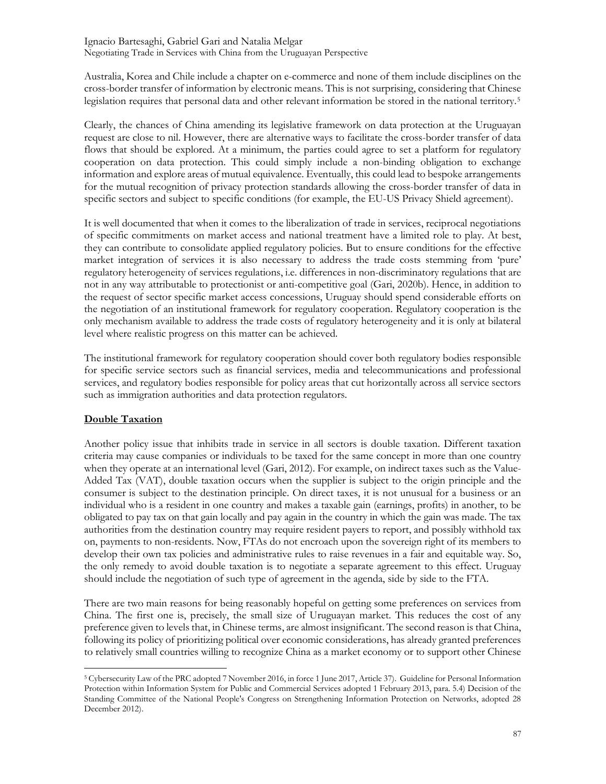Australia, Korea and Chile include a chapter on e-commerce and none of them include disciplines on the cross-border transfer of information by electronic means. This is not surprising, considering that Chinese legislation requires that personal data and other relevant information be stored in the national territory.<sup>5</sup>

Clearly, the chances of China amending its legislative framework on data protection at the Uruguayan request are close to nil. However, there are alternative ways to facilitate the cross-border transfer of data flows that should be explored. At a minimum, the parties could agree to set a platform for regulatory cooperation on data protection. This could simply include a non-binding obligation to exchange information and explore areas of mutual equivalence. Eventually, this could lead to bespoke arrangements for the mutual recognition of privacy protection standards allowing the cross-border transfer of data in specific sectors and subject to specific conditions (for example, the EU-US Privacy Shield agreement).

It is well documented that when it comes to the liberalization of trade in services, reciprocal negotiations of specific commitments on market access and national treatment have a limited role to play. At best, they can contribute to consolidate applied regulatory policies. But to ensure conditions for the effective market integration of services it is also necessary to address the trade costs stemming from 'pure' regulatory heterogeneity of services regulations, i.e. differences in non-discriminatory regulations that are not in any way attributable to protectionist or anti-competitive goal (Gari, 2020b). Hence, in addition to the request of sector specific market access concessions, Uruguay should spend considerable efforts on the negotiation of an institutional framework for regulatory cooperation. Regulatory cooperation is the only mechanism available to address the trade costs of regulatory heterogeneity and it is only at bilateral level where realistic progress on this matter can be achieved.

The institutional framework for regulatory cooperation should cover both regulatory bodies responsible for specific service sectors such as financial services, media and telecommunications and professional services, and regulatory bodies responsible for policy areas that cut horizontally across all service sectors such as immigration authorities and data protection regulators.

## Double Taxation

Another policy issue that inhibits trade in service in all sectors is double taxation. Different taxation criteria may cause companies or individuals to be taxed for the same concept in more than one country when they operate at an international level (Gari, 2012). For example, on indirect taxes such as the Value-Added Tax (VAT), double taxation occurs when the supplier is subject to the origin principle and the consumer is subject to the destination principle. On direct taxes, it is not unusual for a business or an individual who is a resident in one country and makes a taxable gain (earnings, profits) in another, to be obligated to pay tax on that gain locally and pay again in the country in which the gain was made. The tax authorities from the destination country may require resident payers to report, and possibly withhold tax on, payments to non-residents. Now, FTAs do not encroach upon the sovereign right of its members to develop their own tax policies and administrative rules to raise revenues in a fair and equitable way. So, the only remedy to avoid double taxation is to negotiate a separate agreement to this effect. Uruguay should include the negotiation of such type of agreement in the agenda, side by side to the FTA.

There are two main reasons for being reasonably hopeful on getting some preferences on services from China. The first one is, precisely, the small size of Uruguayan market. This reduces the cost of any preference given to levels that, in Chinese terms, are almost insignificant. The second reason is that China, following its policy of prioritizing political over economic considerations, has already granted preferences to relatively small countries willing to recognize China as a market economy or to support other Chinese

<sup>5</sup> Cybersecurity Law of the PRC adopted 7 November 2016, in force 1 June 2017, Article 37). Guideline for Personal Information Protection within Information System for Public and Commercial Services adopted 1 February 2013, para. 5.4) Decision of the Standing Committee of the National People's Congress on Strengthening Information Protection on Networks, adopted 28 December 2012).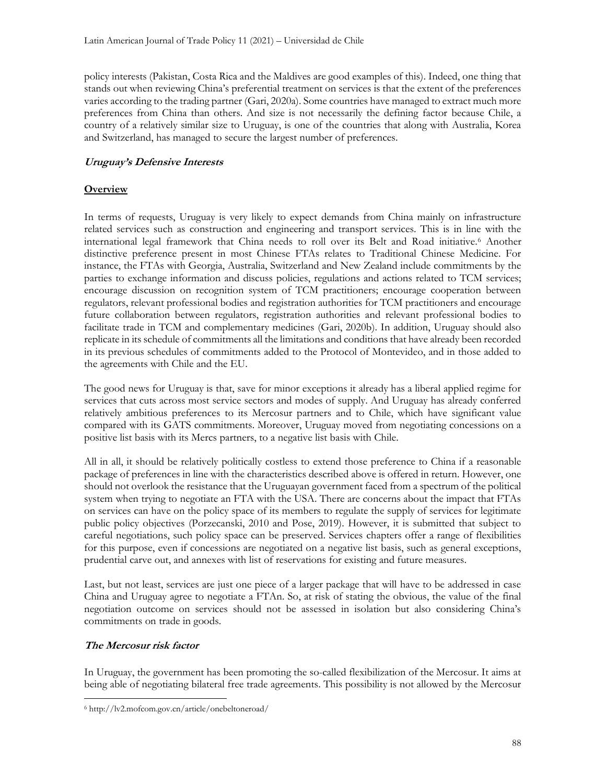policy interests (Pakistan, Costa Rica and the Maldives are good examples of this). Indeed, one thing that stands out when reviewing China's preferential treatment on services is that the extent of the preferences varies according to the trading partner (Gari, 2020a). Some countries have managed to extract much more preferences from China than others. And size is not necessarily the defining factor because Chile, a country of a relatively similar size to Uruguay, is one of the countries that along with Australia, Korea and Switzerland, has managed to secure the largest number of preferences.

## Uruguay's Defensive Interests

## **Overview**

In terms of requests, Uruguay is very likely to expect demands from China mainly on infrastructure related services such as construction and engineering and transport services. This is in line with the international legal framework that China needs to roll over its Belt and Road initiative.<sup>6</sup> Another distinctive preference present in most Chinese FTAs relates to Traditional Chinese Medicine. For instance, the FTAs with Georgia, Australia, Switzerland and New Zealand include commitments by the parties to exchange information and discuss policies, regulations and actions related to TCM services; encourage discussion on recognition system of TCM practitioners; encourage cooperation between regulators, relevant professional bodies and registration authorities for TCM practitioners and encourage future collaboration between regulators, registration authorities and relevant professional bodies to facilitate trade in TCM and complementary medicines (Gari, 2020b). In addition, Uruguay should also replicate in its schedule of commitments all the limitations and conditions that have already been recorded in its previous schedules of commitments added to the Protocol of Montevideo, and in those added to the agreements with Chile and the EU.

The good news for Uruguay is that, save for minor exceptions it already has a liberal applied regime for services that cuts across most service sectors and modes of supply. And Uruguay has already conferred relatively ambitious preferences to its Mercosur partners and to Chile, which have significant value compared with its GATS commitments. Moreover, Uruguay moved from negotiating concessions on a positive list basis with its Mercs partners, to a negative list basis with Chile.

All in all, it should be relatively politically costless to extend those preference to China if a reasonable package of preferences in line with the characteristics described above is offered in return. However, one should not overlook the resistance that the Uruguayan government faced from a spectrum of the political system when trying to negotiate an FTA with the USA. There are concerns about the impact that FTAs on services can have on the policy space of its members to regulate the supply of services for legitimate public policy objectives (Porzecanski, 2010 and Pose, 2019). However, it is submitted that subject to careful negotiations, such policy space can be preserved. Services chapters offer a range of flexibilities for this purpose, even if concessions are negotiated on a negative list basis, such as general exceptions, prudential carve out, and annexes with list of reservations for existing and future measures.

Last, but not least, services are just one piece of a larger package that will have to be addressed in case China and Uruguay agree to negotiate a FTAn. So, at risk of stating the obvious, the value of the final negotiation outcome on services should not be assessed in isolation but also considering China's commitments on trade in goods.

## The Mercosur risk factor

In Uruguay, the government has been promoting the so-called flexibilization of the Mercosur. It aims at being able of negotiating bilateral free trade agreements. This possibility is not allowed by the Mercosur

<sup>6</sup> http://lv2.mofcom.gov.cn/article/onebeltoneroad/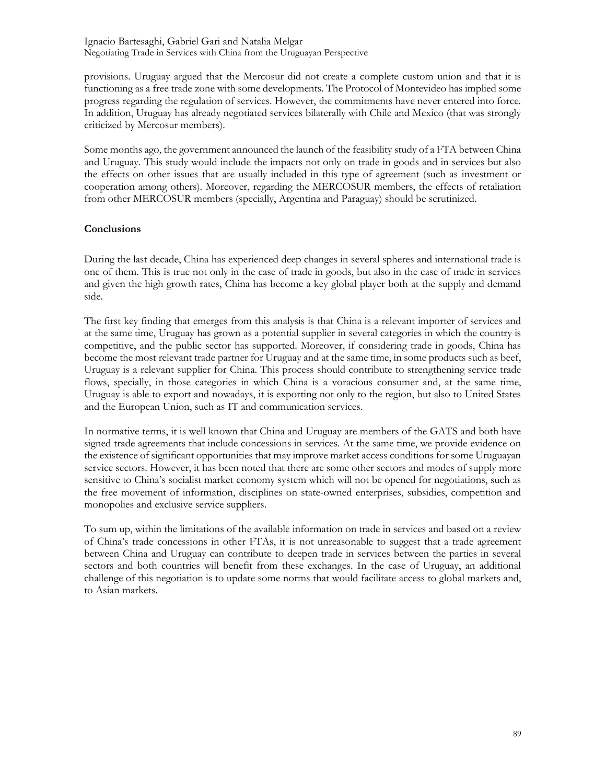provisions. Uruguay argued that the Mercosur did not create a complete custom union and that it is functioning as a free trade zone with some developments. The Protocol of Montevideo has implied some progress regarding the regulation of services. However, the commitments have never entered into force. In addition, Uruguay has already negotiated services bilaterally with Chile and Mexico (that was strongly criticized by Mercosur members).

Some months ago, the government announced the launch of the feasibility study of a FTA between China and Uruguay. This study would include the impacts not only on trade in goods and in services but also the effects on other issues that are usually included in this type of agreement (such as investment or cooperation among others). Moreover, regarding the MERCOSUR members, the effects of retaliation from other MERCOSUR members (specially, Argentina and Paraguay) should be scrutinized.

### **Conclusions**

During the last decade, China has experienced deep changes in several spheres and international trade is one of them. This is true not only in the case of trade in goods, but also in the case of trade in services and given the high growth rates, China has become a key global player both at the supply and demand side.

The first key finding that emerges from this analysis is that China is a relevant importer of services and at the same time, Uruguay has grown as a potential supplier in several categories in which the country is competitive, and the public sector has supported. Moreover, if considering trade in goods, China has become the most relevant trade partner for Uruguay and at the same time, in some products such as beef, Uruguay is a relevant supplier for China. This process should contribute to strengthening service trade flows, specially, in those categories in which China is a voracious consumer and, at the same time, Uruguay is able to export and nowadays, it is exporting not only to the region, but also to United States and the European Union, such as IT and communication services.

In normative terms, it is well known that China and Uruguay are members of the GATS and both have signed trade agreements that include concessions in services. At the same time, we provide evidence on the existence of significant opportunities that may improve market access conditions for some Uruguayan service sectors. However, it has been noted that there are some other sectors and modes of supply more sensitive to China's socialist market economy system which will not be opened for negotiations, such as the free movement of information, disciplines on state-owned enterprises, subsidies, competition and monopolies and exclusive service suppliers.

To sum up, within the limitations of the available information on trade in services and based on a review of China's trade concessions in other FTAs, it is not unreasonable to suggest that a trade agreement between China and Uruguay can contribute to deepen trade in services between the parties in several sectors and both countries will benefit from these exchanges. In the case of Uruguay, an additional challenge of this negotiation is to update some norms that would facilitate access to global markets and, to Asian markets.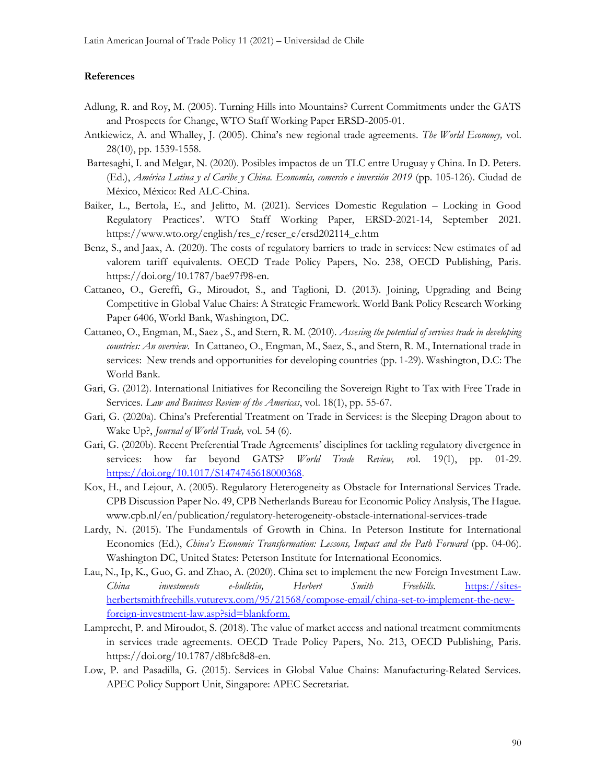#### References

- Adlung, R. and Roy, M. (2005). Turning Hills into Mountains? Current Commitments under the GATS and Prospects for Change, WTO Staff Working Paper ERSD-2005-01.
- Antkiewicz, A. and Whalley, J. (2005). China's new regional trade agreements. The World Economy, vol. 28(10), pp. 1539-1558.
- Bartesaghi, I. and Melgar, N. (2020). Posibles impactos de un TLC entre Uruguay y China. In D. Peters. (Ed.), América Latina y el Caribe y China. Economía, comercio e inversión 2019 (pp. 105-126). Ciudad de México, México: Red ALC-China.
- Baiker, L., Bertola, E., and Jelitto, M. (2021). Services Domestic Regulation Locking in Good Regulatory Practices'. WTO Staff Working Paper, ERSD-2021-14, September 2021. https://www.wto.org/english/res\_e/reser\_e/ersd202114\_e.htm
- Benz, S., and Jaax, A. (2020). The costs of regulatory barriers to trade in services: New estimates of ad valorem tariff equivalents. OECD Trade Policy Papers, No. 238, OECD Publishing, Paris. https://doi.org/10.1787/bae97f98-en.
- Cattaneo, O., Gereffi, G., Miroudot, S., and Taglioni, D. (2013). Joining, Upgrading and Being Competitive in Global Value Chairs: A Strategic Framework. World Bank Policy Research Working Paper 6406, World Bank, Washington, DC.
- Cattaneo, O., Engman, M., Saez , S., and Stern, R. M. (2010). Assesing the potential of services trade in developing countries: An overview. In Cattaneo, O., Engman, M., Saez, S., and Stern, R. M., International trade in services: New trends and opportunities for developing countries (pp. 1-29). Washington, D.C: The World Bank.
- Gari, G. (2012). International Initiatives for Reconciling the Sovereign Right to Tax with Free Trade in Services. Law and Business Review of the Americas, vol. 18(1), pp. 55-67.
- Gari, G. (2020a). China's Preferential Treatment on Trade in Services: is the Sleeping Dragon about to Wake Up?, *Journal of World Trade*, vol. 54 (6).
- Gari, G. (2020b). Recent Preferential Trade Agreements' disciplines for tackling regulatory divergence in services: how far beyond GATS? *World Trade Review*, vol. 19(1), pp. 01-29. https://doi.org/10.1017/S1474745618000368.
- Kox, H., and Lejour, A. (2005). Regulatory Heterogeneity as Obstacle for International Services Trade. CPB Discussion Paper No. 49, CPB Netherlands Bureau for Economic Policy Analysis, The Hague. www.cpb.nl/en/publication/regulatory-heterogeneity-obstacle-international-services-trade
- Lardy, N. (2015). The Fundamentals of Growth in China. In Peterson Institute for International Economics (Ed.), China's Economic Transformation: Lessons, Impact and the Path Forward (pp. 04-06). Washington DC, United States: Peterson Institute for International Economics.
- Lau, N., Ip, K., Guo, G. and Zhao, A. (2020). China set to implement the new Foreign Investment Law. China investments e-bulletin, Herbert Smith Freehills. https://sitesherbertsmithfreehills.vuturevx.com/95/21568/compose-email/china-set-to-implement-the-newforeign-investment-law.asp?sid=blankform.
- Lamprecht, P. and Miroudot, S. (2018). The value of market access and national treatment commitments in services trade agreements. OECD Trade Policy Papers, No. 213, OECD Publishing, Paris. https://doi.org/10.1787/d8bfc8d8-en.
- Low, P. and Pasadilla, G. (2015). Services in Global Value Chains: Manufacturing-Related Services. APEC Policy Support Unit, Singapore: APEC Secretariat.